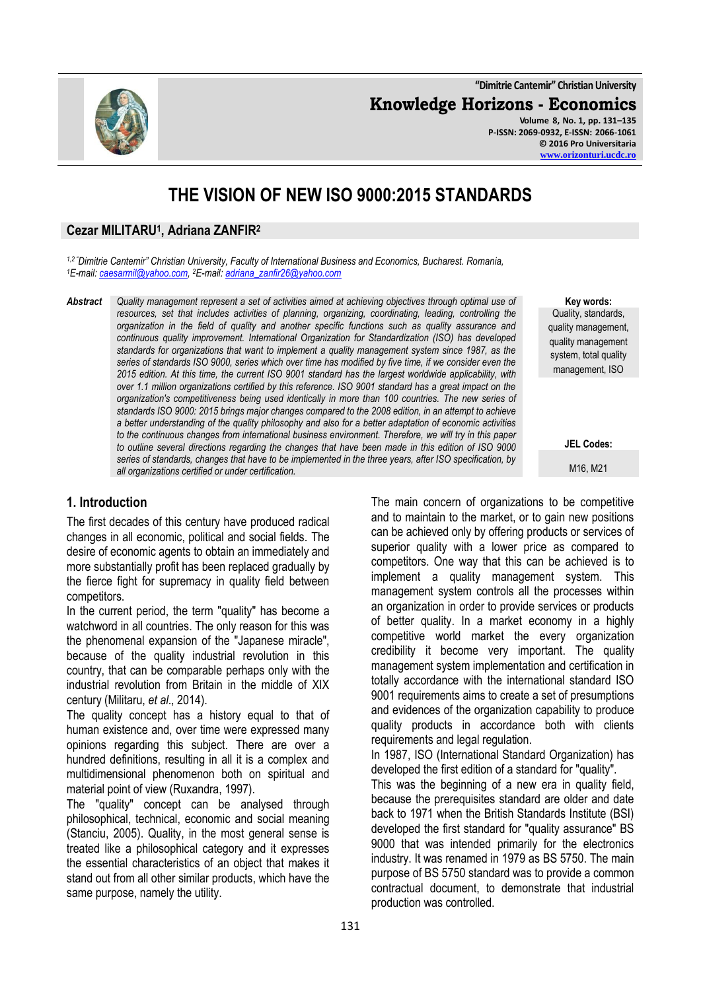**"Dimitrie Cantemir" Christian University**

**Knowledge Horizons - Economics**



**Key words:** Quality, standards, quality management, quality management system, total quality management, ISO

**JEL Codes:**

M16, M21

# **THE VISION OF NEW ISO 9000:2015 STANDARDS**

#### **Cezar MILITARU<sup>1</sup> , Adriana ZANFIR<sup>2</sup>**

*1,2 "Dimitrie Cantemir" Christian University, Faculty of International Business and Economics, Bucharest. Romania, <sup>1</sup>E-mail[: caesarmil@yahoo.com,](mailto:caesarmil@yahoo.com)  <sup>2</sup>E-mail[: adriana\\_zanfir26@yahoo.com](mailto:adriana_zanfir26@yahoo.com)*

*Abstract Quality management represent a set of activities aimed at achieving objectives through optimal use of resources, set that includes activities of planning, organizing, coordinating, leading, controlling the organization in the field of quality and another specific functions such as quality assurance and continuous quality improvement. International Organization for Standardization (ISO) has developed standards for organizations that want to implement a quality management system since 1987, as the series of standards ISO 9000, series which over time has modified by five time, if we consider even the 2015 edition. At this time, the current ISO 9001 standard has the largest worldwide applicability, with over 1.1 million organizations certified by this reference. ISO 9001 standard has a great impact on the organization's competitiveness being used identically in more than 100 countries. The new series of standards ISO 9000: 2015 brings major changes compared to the 2008 edition, in an attempt to achieve a better understanding of the quality philosophy and also for a better adaptation of economic activities to the continuous changes from international business environment. Therefore, we will try in this paper to outline several directions regarding the changes that have been made in this edition of ISO 9000 series of standards, changes that have to be implemented in the three years, after ISO specification, by all organizations certified or under certification.*

### **1. Introduction**

The first decades of this century have produced radical changes in all economic, political and social fields. The desire of economic agents to obtain an immediately and more substantially profit has been replaced gradually by the fierce fight for supremacy in quality field between competitors.

In the current period, the term "quality" has become a watchword in all countries. The only reason for this was the phenomenal expansion of the "Japanese miracle", because of the quality industrial revolution in this country, that can be comparable perhaps only with the industrial revolution from Britain in the middle of XIX century (Militaru, *et al*., 2014).

The quality concept has a history equal to that of human existence and, over time were expressed many opinions regarding this subject. There are over a hundred definitions, resulting in all it is a complex and multidimensional phenomenon both on spiritual and material point of view (Ruxandra, 1997).

The "quality" concept can be analysed through philosophical, technical, economic and social meaning (Stanciu, 2005). Quality, in the most general sense is treated like a philosophical category and it expresses the essential characteristics of an object that makes it stand out from all other similar products, which have the same purpose, namely the utility.

The main concern of organizations to be competitive and to maintain to the market, or to gain new positions can be achieved only by offering products or services of superior quality with a lower price as compared to competitors. One way that this can be achieved is to implement a quality management system. This management system controls all the processes within an organization in order to provide services or products of better quality. In a market economy in a highly competitive world market the every organization credibility it become very important. The quality management system implementation and certification in totally accordance with the international standard ISO 9001 requirements aims to create a set of presumptions and evidences of the organization capability to produce quality products in accordance both with clients requirements and legal regulation.

In 1987, ISO (International Standard Organization) has developed the first edition of a standard for "quality".

This was the beginning of a new era in quality field, because the prerequisites standard are older and date back to 1971 when the British Standards Institute (BSI) developed the first standard for "quality assurance" BS 9000 that was intended primarily for the electronics industry. It was renamed in 1979 as BS 5750. The main purpose of BS 5750 standard was to provide a common contractual document, to demonstrate that industrial production was controlled.

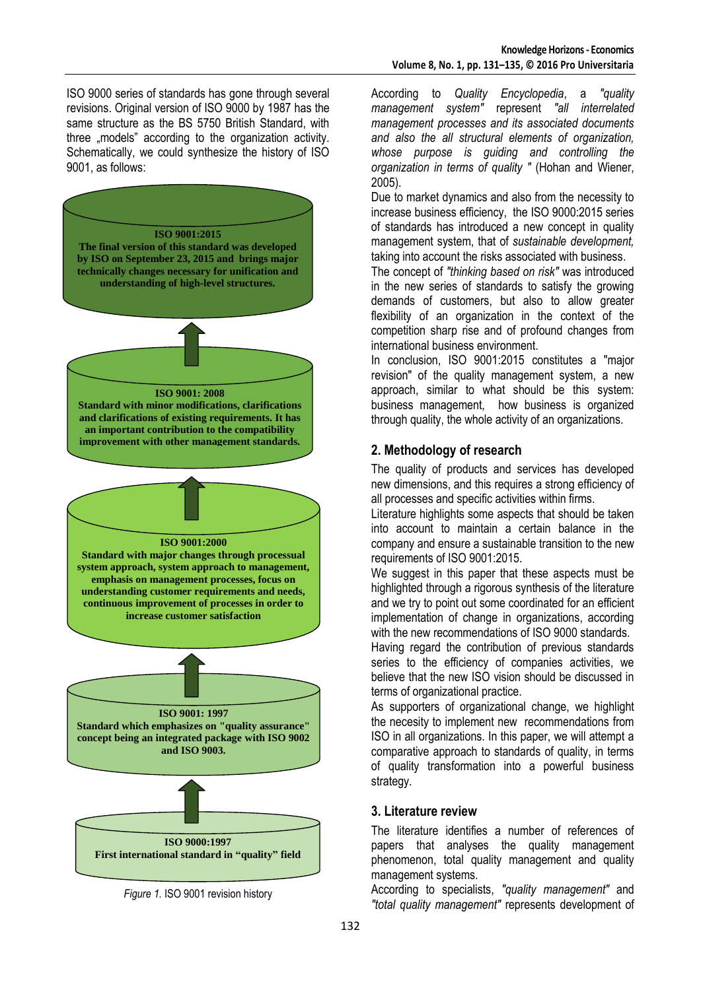ISO 9000 series of standards has gone through several revisions. Original version of ISO 9000 by 1987 has the same structure as the BS 5750 British Standard, with three ..models" according to the organization activity. Schematically, we could synthesize the history of ISO 9001, as follows:



*Figure 1.* ISO 9001 revision history

According to *Quality Encyclopedia*, a *"quality management system"* represent *"all interrelated management processes and its associated documents and also the all structural elements of organization, whose purpose is guiding and controlling the organization in terms of quality "* (Hohan and Wiener, 2005).

Due to market dynamics and also from the necessity to increase business efficiency, the ISO 9000:2015 series of standards has introduced a new concept in quality management system, that of *sustainable development,* taking into account the risks associated with business.

The concept of *"thinking based on risk"* was introduced in the new series of standards to satisfy the growing demands of customers, but also to allow greater flexibility of an organization in the context of the competition sharp rise and of profound changes from international business environment.

In conclusion, ISO 9001:2015 constitutes a "major revision" of the quality management system, a new approach, similar to what should be this system: business management, how business is organized through quality, the whole activity of an organizations.

## **2. Methodology of research**

The quality of products and services has developed new dimensions, and this requires a strong efficiency of all processes and specific activities within firms.

Literature highlights some aspects that should be taken into account to maintain a certain balance in the company and ensure a sustainable transition to the new requirements of ISO 9001:2015.

We suggest in this paper that these aspects must be highlighted through a rigorous synthesis of the literature and we try to point out some coordinated for an efficient implementation of change in organizations, according with the new recommendations of ISO 9000 standards.

Having regard the contribution of previous standards series to the efficiency of companies activities, we believe that the new ISO vision should be discussed in terms of organizational practice.

As supporters of organizational change, we highlight the necesity to implement new recommendations from ISO in all organizations. In this paper, we will attempt a comparative approach to standards of quality, in terms of quality transformation into a powerful business strategy.

### **3. Literature review**

The literature identifies a number of references of papers that analyses the quality management phenomenon, total quality management and quality management systems.

According to specialists, *"quality management"* and *"total quality management"* represents development of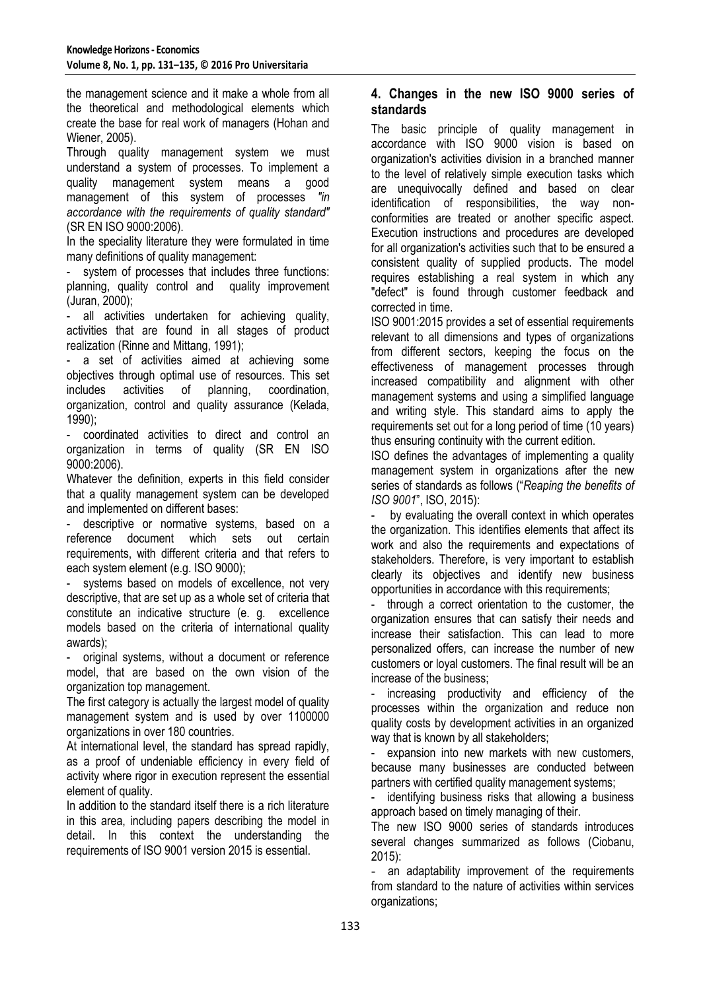the management science and it make a whole from all the theoretical and methodological elements which create the base for real work of managers (Hohan and Wiener, 2005).

Through quality management system we must understand a system of processes. To implement a quality management system means a good management of this system of processes *"in accordance with the requirements of quality standard"* (SR EN ISO 9000:2006).

In the speciality literature they were formulated in time many definitions of quality management:

system of processes that includes three functions: planning, quality control and quality improvement (Juran, 2000);

all activities undertaken for achieving quality, activities that are found in all stages of product realization (Rinne and Mittang, 1991);

- a set of activities aimed at achieving some objectives through optimal use of resources. This set includes activities of planning, coordination, organization, control and quality assurance (Kelada, 1990);

- coordinated activities to direct and control an organization in terms of quality (SR EN ISO 9000:2006).

Whatever the definition, experts in this field consider that a quality management system can be developed and implemented on different bases:

- descriptive or normative systems, based on a reference document which sets out certain requirements, with different criteria and that refers to each system element (e.g. ISO 9000);

systems based on models of excellence, not very descriptive, that are set up as a whole set of criteria that constitute an indicative structure (e. g. excellence models based on the criteria of international quality awards);

original systems, without a document or reference model, that are based on the own vision of the organization top management.

The first category is actually the largest model of quality management system and is used by over 1100000 organizations in over 180 countries.

At international level, the standard has spread rapidly, as a proof of undeniable efficiency in every field of activity where rigor in execution represent the essential element of quality.

In addition to the standard itself there is a rich literature in this area, including papers describing the model in detail. In this context the understanding the requirements of ISO 9001 version 2015 is essential.

## **4. Changes in the new ISO 9000 series of standards**

The basic principle of quality management in accordance with ISO 9000 vision is based on organization's activities division in a branched manner to the level of relatively simple execution tasks which are unequivocally defined and based on clear identification of responsibilities, the way nonconformities are treated or another specific aspect. Execution instructions and procedures are developed for all organization's activities such that to be ensured a consistent quality of supplied products. The model requires establishing a real system in which any "defect" is found through customer feedback and corrected in time.

ISO 9001:2015 provides a set of essential requirements relevant to all dimensions and types of organizations from different sectors, keeping the focus on the effectiveness of management processes through increased compatibility and alignment with other management systems and using a simplified language and writing style. This standard aims to apply the requirements set out for a long period of time (10 years) thus ensuring continuity with the current edition.

ISO defines the advantages of implementing a quality management system in organizations after the new series of standards as follows ("*Reaping the benefits of ISO 9001*", ISO, 2015):

by evaluating the overall context in which operates the organization. This identifies elements that affect its work and also the requirements and expectations of stakeholders. Therefore, is very important to establish clearly its objectives and identify new business opportunities in accordance with this requirements;

- through a correct orientation to the customer, the organization ensures that can satisfy their needs and increase their satisfaction. This can lead to more personalized offers, can increase the number of new customers or loyal customers. The final result will be an increase of the business;

increasing productivity and efficiency of the processes within the organization and reduce non quality costs by development activities in an organized way that is known by all stakeholders;

expansion into new markets with new customers, because many businesses are conducted between partners with certified quality management systems;

identifying business risks that allowing a business approach based on timely managing of their.

The new ISO 9000 series of standards introduces several changes summarized as follows (Ciobanu, 2015):

an adaptability improvement of the requirements from standard to the nature of activities within services organizations;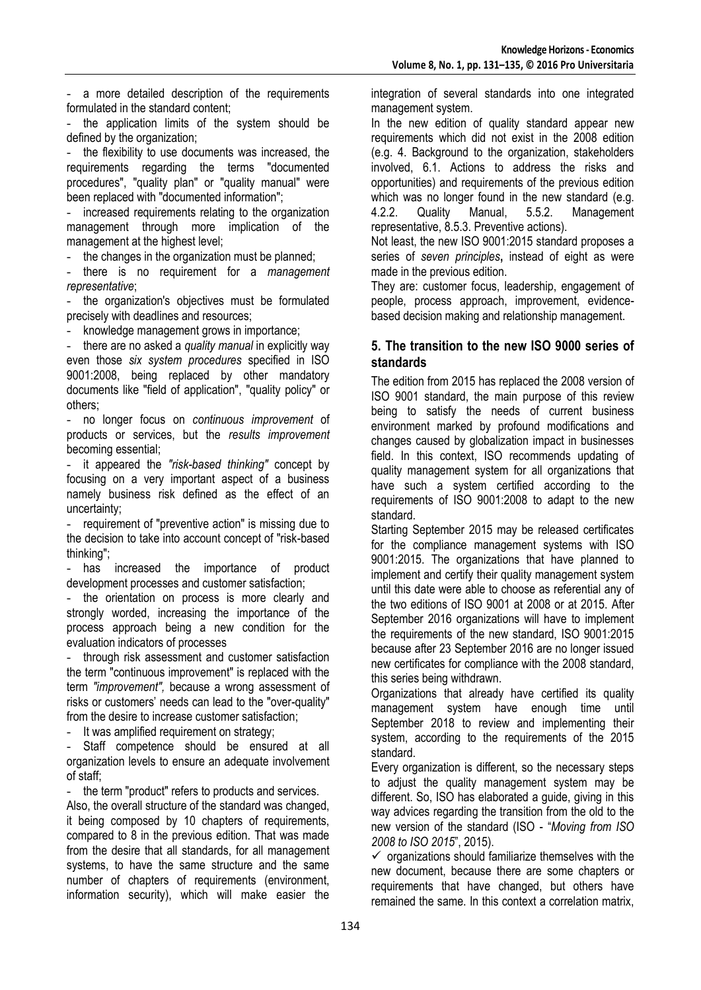- a more detailed description of the requirements formulated in the standard content;

the application limits of the system should be defined by the organization:

the flexibility to use documents was increased, the requirements regarding the terms "documented procedures", "quality plan" or "quality manual" were been replaced with "documented information";

increased requirements relating to the organization management through more implication of the management at the highest level;

the changes in the organization must be planned;

- there is no requirement for a *management representative*;

the organization's objectives must be formulated precisely with deadlines and resources;

- knowledge management grows in importance;

- there are no asked a *quality manual* in explicitly way even those *six system procedures* specified in ISO 9001:2008, being replaced by other mandatory documents like "field of application", "quality policy" or others;

- no longer focus on *continuous improvement* of products or services, but the *results improvement* becoming essential;

- it appeared the *"risk-based thinking"* concept by focusing on a very important aspect of a business namely business risk defined as the effect of an uncertainty;

requirement of "preventive action" is missing due to the decision to take into account concept of "risk-based thinking";

has increased the importance of product development processes and customer satisfaction;

the orientation on process is more clearly and strongly worded, increasing the importance of the process approach being a new condition for the evaluation indicators of processes

through risk assessment and customer satisfaction the term "continuous improvement" is replaced with the term *"improvement",* because a wrong assessment of risks or customers' needs can lead to the "over-quality" from the desire to increase customer satisfaction;

It was amplified requirement on strategy;

Staff competence should be ensured at all organization levels to ensure an adequate involvement of staff;

the term "product" refers to products and services.

Also, the overall structure of the standard was changed, it being composed by 10 chapters of requirements, compared to 8 in the previous edition. That was made from the desire that all standards, for all management systems, to have the same structure and the same number of chapters of requirements (environment, information security), which will make easier the

integration of several standards into one integrated management system.

In the new edition of quality standard appear new requirements which did not exist in the 2008 edition (e.g. 4. Background to the organization, stakeholders involved, 6.1. Actions to address the risks and opportunities) and requirements of the previous edition which was no longer found in the new standard (e.g. 4.2.2. Quality Manual, 5.5.2. Management representative, 8.5.3. Preventive actions).

Not least, the new ISO 9001:2015 standard proposes a series of *seven principles***,** instead of eight as were made in the previous edition.

They are: customer focus, leadership, engagement of people, process approach, improvement, evidencebased decision making and relationship management.

## **5. The transition to the new ISO 9000 series of standards**

The edition from 2015 has replaced the 2008 version of ISO 9001 standard, the main purpose of this review being to satisfy the needs of current business environment marked by profound modifications and changes caused by globalization impact in businesses field. In this context, ISO recommends updating of quality management system for all organizations that have such a system certified according to the requirements of ISO 9001:2008 to adapt to the new standard.

Starting September 2015 may be released certificates for the compliance management systems with ISO 9001:2015. The organizations that have planned to implement and certify their quality management system until this date were able to choose as referential any of the two editions of ISO 9001 at 2008 or at 2015. After September 2016 organizations will have to implement the requirements of the new standard, ISO 9001:2015 because after 23 September 2016 are no longer issued new certificates for compliance with the 2008 standard, this series being withdrawn.

Organizations that already have certified its quality management system have enough time until September 2018 to review and implementing their system, according to the requirements of the 2015 standard.

Every organization is different, so the necessary steps to adjust the quality management system may be different. So, ISO has elaborated a guide, giving in this way advices regarding the transition from the old to the new version of the standard (ISO - "*Moving from ISO 2008 to ISO 2015*", 2015).

 $\checkmark$  organizations should familiarize themselves with the new document, because there are some chapters or requirements that have changed, but others have remained the same. In this context a correlation matrix,